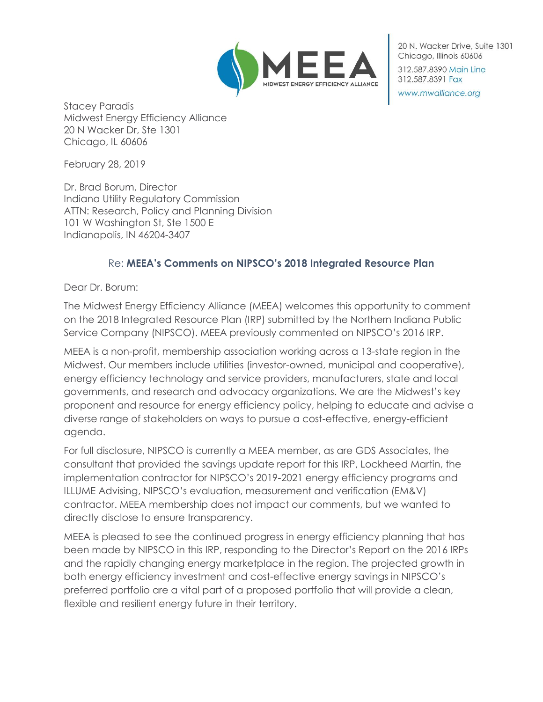

20 N. Wacker Drive, Suite 1301 Chicago, Illinois 60606 312.587.8390 Main Line 312.587.8391 Fax

www.mwalliance.org

Stacey Paradis Midwest Energy Efficiency Alliance 20 N Wacker Dr, Ste 1301 Chicago, IL 60606

February 28, 2019

Dr. Brad Borum, Director Indiana Utility Regulatory Commission ATTN: Research, Policy and Planning Division 101 W Washington St, Ste 1500 E Indianapolis, IN 46204-3407

# Re: **MEEA's Comments on NIPSCO's 2018 Integrated Resource Plan**

Dear Dr. Borum:

The Midwest Energy Efficiency Alliance (MEEA) welcomes this opportunity to comment on the 2018 Integrated Resource Plan (IRP) submitted by the Northern Indiana Public Service Company (NIPSCO). MEEA previously commented on NIPSCO's 2016 IRP.

MEEA is a non-profit, membership association working across a 13-state region in the Midwest. Our members include utilities (investor-owned, municipal and cooperative), energy efficiency technology and service providers, manufacturers, state and local governments, and research and advocacy organizations. We are the Midwest's key proponent and resource for energy efficiency policy, helping to educate and advise a diverse range of stakeholders on ways to pursue a cost-effective, energy-efficient agenda.

For full disclosure, NIPSCO is currently a MEEA member, as are GDS Associates, the consultant that provided the savings update report for this IRP, Lockheed Martin, the implementation contractor for NIPSCO's 2019-2021 energy efficiency programs and ILLUME Advising, NIPSCO's evaluation, measurement and verification (EM&V) contractor. MEEA membership does not impact our comments, but we wanted to directly disclose to ensure transparency.

MEEA is pleased to see the continued progress in energy efficiency planning that has been made by NIPSCO in this IRP, responding to the Director's Report on the 2016 IRPs and the rapidly changing energy marketplace in the region. The projected growth in both energy efficiency investment and cost-effective energy savings in NIPSCO's preferred portfolio are a vital part of a proposed portfolio that will provide a clean, flexible and resilient energy future in their territory.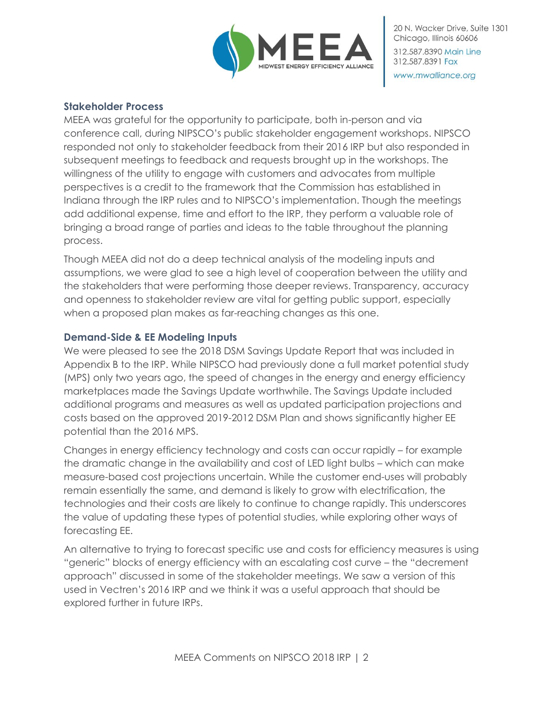

### **Stakeholder Process**

MEEA was grateful for the opportunity to participate, both in-person and via conference call, during NIPSCO's public stakeholder engagement workshops. NIPSCO responded not only to stakeholder feedback from their 2016 IRP but also responded in subsequent meetings to feedback and requests brought up in the workshops. The willingness of the utility to engage with customers and advocates from multiple perspectives is a credit to the framework that the Commission has established in Indiana through the IRP rules and to NIPSCO's implementation. Though the meetings add additional expense, time and effort to the IRP, they perform a valuable role of bringing a broad range of parties and ideas to the table throughout the planning process.

Though MEEA did not do a deep technical analysis of the modeling inputs and assumptions, we were glad to see a high level of cooperation between the utility and the stakeholders that were performing those deeper reviews. Transparency, accuracy and openness to stakeholder review are vital for getting public support, especially when a proposed plan makes as far-reaching changes as this one.

### **Demand-Side & EE Modeling Inputs**

We were pleased to see the 2018 DSM Savings Update Report that was included in Appendix B to the IRP. While NIPSCO had previously done a full market potential study (MPS) only two years ago, the speed of changes in the energy and energy efficiency marketplaces made the Savings Update worthwhile. The Savings Update included additional programs and measures as well as updated participation projections and costs based on the approved 2019-2012 DSM Plan and shows significantly higher EE potential than the 2016 MPS.

Changes in energy efficiency technology and costs can occur rapidly – for example the dramatic change in the availability and cost of LED light bulbs – which can make measure-based cost projections uncertain. While the customer end-uses will probably remain essentially the same, and demand is likely to grow with electrification, the technologies and their costs are likely to continue to change rapidly. This underscores the value of updating these types of potential studies, while exploring other ways of forecasting EE.

An alternative to trying to forecast specific use and costs for efficiency measures is using "generic" blocks of energy efficiency with an escalating cost curve – the "decrement approach" discussed in some of the stakeholder meetings. We saw a version of this used in Vectren's 2016 IRP and we think it was a useful approach that should be explored further in future IRPs.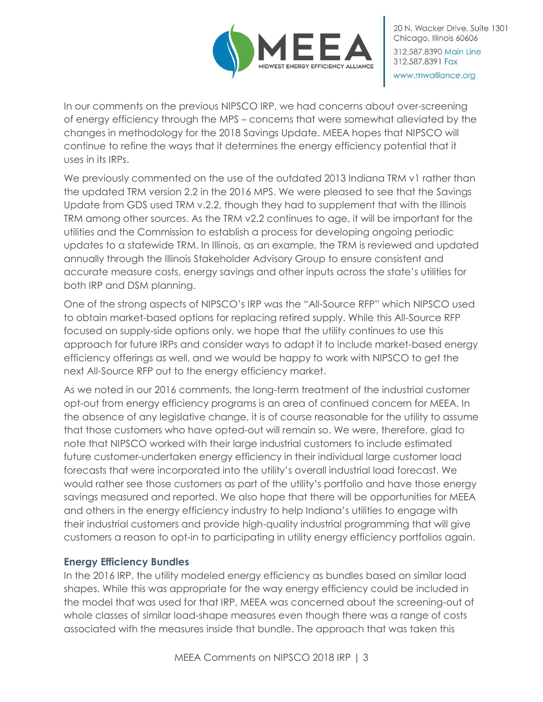

In our comments on the previous NIPSCO IRP, we had concerns about over-screening of energy efficiency through the MPS – concerns that were somewhat alleviated by the changes in methodology for the 2018 Savings Update. MEEA hopes that NIPSCO will continue to refine the ways that it determines the energy efficiency potential that it uses in its IRPs.

We previously commented on the use of the outdated 2013 Indiana TRM v1 rather than the updated TRM version 2.2 in the 2016 MPS. We were pleased to see that the Savings Update from GDS used TRM v.2.2, though they had to supplement that with the Illinois TRM among other sources. As the TRM v2.2 continues to age, it will be important for the utilities and the Commission to establish a process for developing ongoing periodic updates to a statewide TRM. In Illinois, as an example, the TRM is reviewed and updated annually through the Illinois Stakeholder Advisory Group to ensure consistent and accurate measure costs, energy savings and other inputs across the state's utilities for both IRP and DSM planning.

One of the strong aspects of NIPSCO's IRP was the "All-Source RFP" which NIPSCO used to obtain market-based options for replacing retired supply. While this All-Source RFP focused on supply-side options only, we hope that the utility continues to use this approach for future IRPs and consider ways to adapt it to include market-based energy efficiency offerings as well, and we would be happy to work with NIPSCO to get the next All-Source RFP out to the energy efficiency market.

As we noted in our 2016 comments, the long-term treatment of the industrial customer opt-out from energy efficiency programs is an area of continued concern for MEEA. In the absence of any legislative change, it is of course reasonable for the utility to assume that those customers who have opted-out will remain so. We were, therefore, glad to note that NIPSCO worked with their large industrial customers to include estimated future customer-undertaken energy efficiency in their individual large customer load forecasts that were incorporated into the utility's overall industrial load forecast. We would rather see those customers as part of the utility's portfolio and have those energy savings measured and reported. We also hope that there will be opportunities for MEEA and others in the energy efficiency industry to help Indiana's utilities to engage with their industrial customers and provide high-quality industrial programming that will give customers a reason to opt-in to participating in utility energy efficiency portfolios again.

# **Energy Efficiency Bundles**

In the 2016 IRP, the utility modeled energy efficiency as bundles based on similar load shapes. While this was appropriate for the way energy efficiency could be included in the model that was used for that IRP, MEEA was concerned about the screening-out of whole classes of similar load-shape measures even though there was a range of costs associated with the measures inside that bundle. The approach that was taken this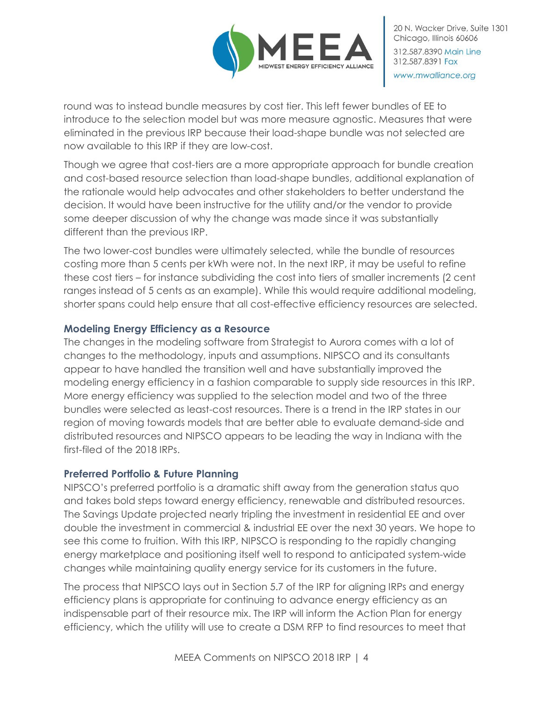

round was to instead bundle measures by cost tier. This left fewer bundles of EE to introduce to the selection model but was more measure agnostic. Measures that were eliminated in the previous IRP because their load-shape bundle was not selected are now available to this IRP if they are low-cost.

Though we agree that cost-tiers are a more appropriate approach for bundle creation and cost-based resource selection than load-shape bundles, additional explanation of the rationale would help advocates and other stakeholders to better understand the decision. It would have been instructive for the utility and/or the vendor to provide some deeper discussion of why the change was made since it was substantially different than the previous IRP.

The two lower-cost bundles were ultimately selected, while the bundle of resources costing more than 5 cents per kWh were not. In the next IRP, it may be useful to refine these cost tiers – for instance subdividing the cost into tiers of smaller increments (2 cent ranges instead of 5 cents as an example). While this would require additional modeling, shorter spans could help ensure that all cost-effective efficiency resources are selected.

# **Modeling Energy Efficiency as a Resource**

The changes in the modeling software from Strategist to Aurora comes with a lot of changes to the methodology, inputs and assumptions. NIPSCO and its consultants appear to have handled the transition well and have substantially improved the modeling energy efficiency in a fashion comparable to supply side resources in this IRP. More energy efficiency was supplied to the selection model and two of the three bundles were selected as least-cost resources. There is a trend in the IRP states in our region of moving towards models that are better able to evaluate demand-side and distributed resources and NIPSCO appears to be leading the way in Indiana with the first-filed of the 2018 IRPs.

### **Preferred Portfolio & Future Planning**

NIPSCO's preferred portfolio is a dramatic shift away from the generation status quo and takes bold steps toward energy efficiency, renewable and distributed resources. The Savings Update projected nearly tripling the investment in residential EE and over double the investment in commercial & industrial EE over the next 30 years. We hope to see this come to fruition. With this IRP, NIPSCO is responding to the rapidly changing energy marketplace and positioning itself well to respond to anticipated system-wide changes while maintaining quality energy service for its customers in the future.

The process that NIPSCO lays out in Section 5.7 of the IRP for aligning IRPs and energy efficiency plans is appropriate for continuing to advance energy efficiency as an indispensable part of their resource mix. The IRP will inform the Action Plan for energy efficiency, which the utility will use to create a DSM RFP to find resources to meet that